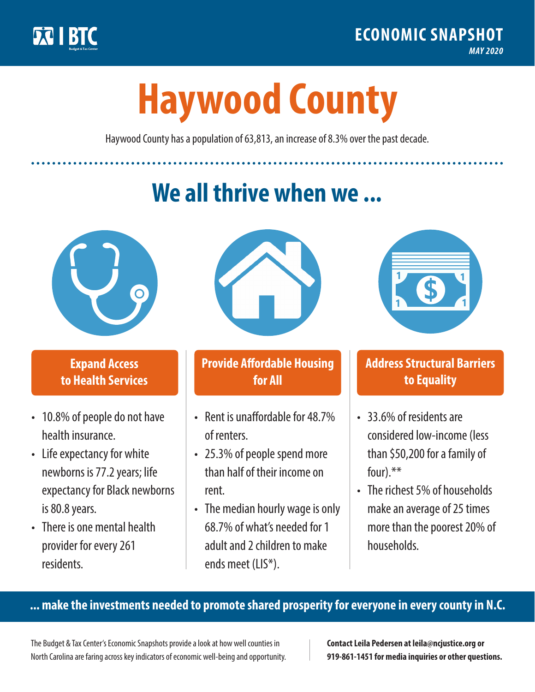

**1**

# **Haywood County**

Haywood County has a population of 63,813, an increase of 8.3% over the past decade.

# **We all thrive when we ...**



**\$ <sup>1</sup>**

**\$ <sup>1</sup>**

#### **Expand Access to Health Services**

- 10.8% of people do not have health insurance.
- Life expectancy for white newborns is 77.2years; life expectancy for Black newborns is 80.8years.
- There is one mental health provider for every 261 residents.



## **Provide Affordable Housing for All**

- Rent is unaffordable for 48.7% of renters.
- 25.3% of people spend more than half of their income on rent.
- The median hourly wage is only 68.7% of what's needed for 1 adult and 2 children to make ends meet (LIS\*).



## **Address Structural Barriers to Equality**

- 33.6% of residents are considered low-income (less than \$50,200 for a family of four) $.**$
- The richest 5% of households make an average of 25 times more than the poorest 20% of households.

#### **... make the investments needed to promote shared prosperity for everyone in every county in N.C.**

The Budget & Tax Center's Economic Snapshots provide a look at how well counties in North Carolina are faring across key indicators of economic well-being and opportunity.